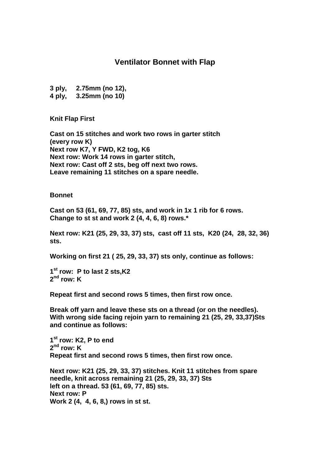## **Ventilator Bonnet with Flap**

**3 ply, 2.75mm (no 12),**

**4 ply, 3.25mm (no 10)**

**Knit Flap First**

**Cast on 15 stitches and work two rows in garter stitch (every row K) Next row K7, Y FWD, K2 tog, K6 Next row: Work 14 rows in garter stitch, Next row: Cast off 2 sts, beg off next two rows. Leave remaining 11 stitches on a spare needle.**

**Bonnet**

**Cast on 53 (61, 69, 77, 85) sts, and work in 1x 1 rib for 6 rows. Change to st st and work 2 (4, 4, 6, 8) rows.\***

**Next row: K21 (25, 29, 33, 37) sts, cast off 11 sts, K20 (24, 28, 32, 36) sts.**

**Working on first 21 ( 25, 29, 33, 37) sts only, continue as follows:**

**1 st row: P to last 2 sts,K2 2 nd row: K**

**Repeat first and second rows 5 times, then first row once.**

**Break off yarn and leave these sts on a thread (or on the needles). With wrong side facing rejoin yarn to remaining 21 (25, 29, 33,37)Sts and continue as follows:**

**1 st row: K2, P to end 2 nd row: K Repeat first and second rows 5 times, then first row once.**

**Next row: K21 (25, 29, 33, 37) stitches. Knit 11 stitches from spare needle, knit across remaining 21 (25, 29, 33, 37) Sts left on a thread. 53 (61, 69, 77, 85) sts. Next row: P Work 2 (4, 4, 6, 8,) rows in st st.**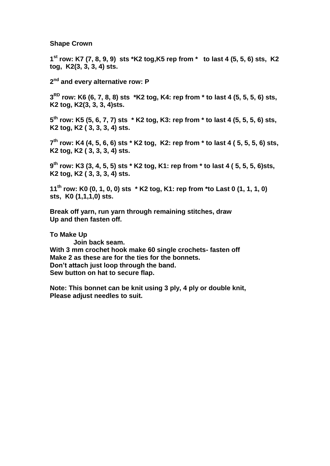## **Shape Crown**

**1 st row: K7 (7, 8, 9, 9) sts \*K2 tog,K5 rep from \* to last 4 (5, 5, 6) sts, K2 tog, K2(3, 3, 3, 4) sts.**

**2 nd and every alternative row: P**

**3 RD row: K6 (6, 7, 8, 8) sts \*K2 tog, K4: rep from \* to last 4 (5, 5, 5, 6) sts, K2 tog, K2(3, 3, 3, 4)sts.**

**5 th row: K5 (5, 6, 7, 7) sts \* K2 tog, K3: rep from \* to last 4 (5, 5, 5, 6) sts, K2 tog, K2 ( 3, 3, 3, 4) sts.**

**7 th row: K4 (4, 5, 6, 6) sts \* K2 tog, K2: rep from \* to last 4 ( 5, 5, 5, 6) sts, K2 tog, K2 ( 3, 3, 3, 4) sts.**

**9 th row: K3 (3, 4, 5, 5) sts \* K2 tog, K1: rep from \* to last 4 ( 5, 5, 5, 6)sts, K2 tog, K2 ( 3, 3, 3, 4) sts.**

**11th row: K0 (0, 1, 0, 0) sts \* K2 tog, K1: rep from \*to Last 0 (1, 1, 1, 0) sts, K0 (1,1,1,0) sts.**

**Break off yarn, run yarn through remaining stitches, draw Up and then fasten off.**

**To Make Up**

**Join back seam. With 3 mm crochet hook make 60 single crochets- fasten off Make 2 as these are for the ties for the bonnets. Don't attach just loop through the band. Sew button on hat to secure flap.**

**Note: This bonnet can be knit using 3 ply, 4 ply or double knit, Please adjust needles to suit.**